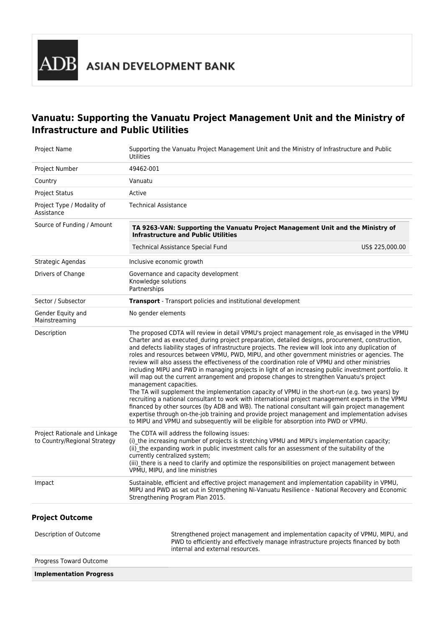

# **Vanuatu: Supporting the Vanuatu Project Management Unit and the Ministry of Infrastructure and Public Utilities**

| Project Name                                                  | Supporting the Vanuatu Project Management Unit and the Ministry of Infrastructure and Public<br><b>Utilities</b>                                                                                                                                                                                                                                                                                                                                                                                                                                                                                                                                                                                                                                                                                                                                                                                                                                                                                                                                                                                                                                                                                                                                      |                 |  |
|---------------------------------------------------------------|-------------------------------------------------------------------------------------------------------------------------------------------------------------------------------------------------------------------------------------------------------------------------------------------------------------------------------------------------------------------------------------------------------------------------------------------------------------------------------------------------------------------------------------------------------------------------------------------------------------------------------------------------------------------------------------------------------------------------------------------------------------------------------------------------------------------------------------------------------------------------------------------------------------------------------------------------------------------------------------------------------------------------------------------------------------------------------------------------------------------------------------------------------------------------------------------------------------------------------------------------------|-----------------|--|
| Project Number                                                | 49462-001                                                                                                                                                                                                                                                                                                                                                                                                                                                                                                                                                                                                                                                                                                                                                                                                                                                                                                                                                                                                                                                                                                                                                                                                                                             |                 |  |
| Country                                                       | Vanuatu                                                                                                                                                                                                                                                                                                                                                                                                                                                                                                                                                                                                                                                                                                                                                                                                                                                                                                                                                                                                                                                                                                                                                                                                                                               |                 |  |
| <b>Project Status</b>                                         | Active                                                                                                                                                                                                                                                                                                                                                                                                                                                                                                                                                                                                                                                                                                                                                                                                                                                                                                                                                                                                                                                                                                                                                                                                                                                |                 |  |
| Project Type / Modality of<br>Assistance                      | <b>Technical Assistance</b>                                                                                                                                                                                                                                                                                                                                                                                                                                                                                                                                                                                                                                                                                                                                                                                                                                                                                                                                                                                                                                                                                                                                                                                                                           |                 |  |
| Source of Funding / Amount                                    | TA 9263-VAN: Supporting the Vanuatu Project Management Unit and the Ministry of<br><b>Infrastructure and Public Utilities</b>                                                                                                                                                                                                                                                                                                                                                                                                                                                                                                                                                                                                                                                                                                                                                                                                                                                                                                                                                                                                                                                                                                                         |                 |  |
|                                                               | <b>Technical Assistance Special Fund</b>                                                                                                                                                                                                                                                                                                                                                                                                                                                                                                                                                                                                                                                                                                                                                                                                                                                                                                                                                                                                                                                                                                                                                                                                              | US\$ 225,000.00 |  |
| Strategic Agendas                                             | Inclusive economic growth                                                                                                                                                                                                                                                                                                                                                                                                                                                                                                                                                                                                                                                                                                                                                                                                                                                                                                                                                                                                                                                                                                                                                                                                                             |                 |  |
| Drivers of Change                                             | Governance and capacity development<br>Knowledge solutions<br>Partnerships                                                                                                                                                                                                                                                                                                                                                                                                                                                                                                                                                                                                                                                                                                                                                                                                                                                                                                                                                                                                                                                                                                                                                                            |                 |  |
| Sector / Subsector                                            | Transport - Transport policies and institutional development                                                                                                                                                                                                                                                                                                                                                                                                                                                                                                                                                                                                                                                                                                                                                                                                                                                                                                                                                                                                                                                                                                                                                                                          |                 |  |
| Gender Equity and<br>Mainstreaming                            | No gender elements                                                                                                                                                                                                                                                                                                                                                                                                                                                                                                                                                                                                                                                                                                                                                                                                                                                                                                                                                                                                                                                                                                                                                                                                                                    |                 |  |
| Description                                                   | The proposed CDTA will review in detail VPMU's project management role as envisaged in the VPMU<br>Charter and as executed_during project preparation, detailed designs, procurement, construction,<br>and defects liability stages of infrastructure projects. The review will look into any duplication of<br>roles and resources between VPMU, PWD, MIPU, and other government ministries or agencies. The<br>review will also assess the effectiveness of the coordination role of VPMU and other ministries<br>including MIPU and PWD in managing projects in light of an increasing public investment portfolio. It<br>will map out the current arrangement and propose changes to strengthen Vanuatu's project<br>management capacities.<br>The TA will supplement the implementation capacity of VPMU in the short-run (e.g. two years) by<br>recruiting a national consultant to work with international project management experts in the VPMU<br>financed by other sources (by ADB and WB). The national consultant will gain project management<br>expertise through on-the-job training and provide project management and implementation advises<br>to MIPU and VPMU and subsequently will be eligible for absorption into PWD or VPMU. |                 |  |
| Project Rationale and Linkage<br>to Country/Regional Strategy | The CDTA will address the following issues:<br>(i) the increasing number of projects is stretching VPMU and MIPU's implementation capacity;<br>(ii) the expanding work in public investment calls for an assessment of the suitability of the<br>currently centralized system;<br>(iii) there is a need to clarify and optimize the responsibilities on project management between<br>VPMU, MIPU, and line ministries                                                                                                                                                                                                                                                                                                                                                                                                                                                                                                                                                                                                                                                                                                                                                                                                                                 |                 |  |
| Impact                                                        | Sustainable, efficient and effective project management and implementation capability in VPMU,<br>MIPU and PWD as set out in Strengthening Ni-Vanuatu Resilience - National Recovery and Economic<br>Strengthening Program Plan 2015.                                                                                                                                                                                                                                                                                                                                                                                                                                                                                                                                                                                                                                                                                                                                                                                                                                                                                                                                                                                                                 |                 |  |
| <b>Project Outcome</b>                                        |                                                                                                                                                                                                                                                                                                                                                                                                                                                                                                                                                                                                                                                                                                                                                                                                                                                                                                                                                                                                                                                                                                                                                                                                                                                       |                 |  |
| Description of Outcome                                        | Strengthened project management and implementation capacity of VPMU, MIPU, and<br>PWD to efficiently and effectively manage infrastructure projects financed by both<br>internal and external resources.                                                                                                                                                                                                                                                                                                                                                                                                                                                                                                                                                                                                                                                                                                                                                                                                                                                                                                                                                                                                                                              |                 |  |

Progress Toward Outcome

**Implementation Progress**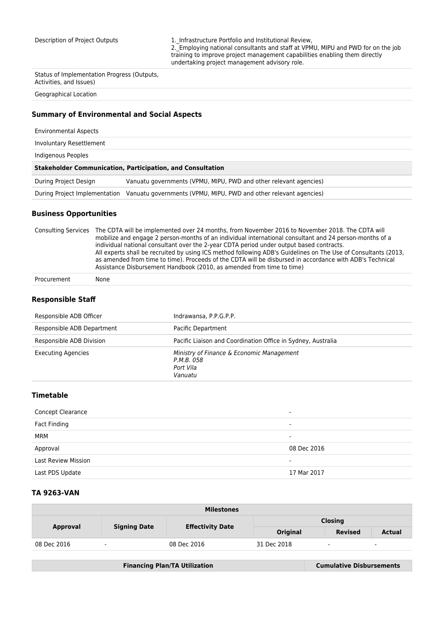Description of Project Outputs 1. Infrastructure Portfolio and Institutional Review, 2.\_Employing national consultants and staff at VPMU, MIPU and PWD for on the job training to improve project management capabilities enabling them directly undertaking project management advisory role.

Status of Implementation Progress (Outputs, Activities, and Issues)

Geographical Location

## **Summary of Environmental and Social Aspects**

| <b>Environmental Aspects</b> |                                                                   |
|------------------------------|-------------------------------------------------------------------|
| Involuntary Resettlement     |                                                                   |
| Indigenous Peoples           |                                                                   |
|                              |                                                                   |
|                              | <b>Stakeholder Communication, Participation, and Consultation</b> |
| During Project Design        | Vanuatu governments (VPMU, MIPU, PWD and other relevant agencies) |

#### **Business Opportunities**

Consulting Services The CDTA will be implemented over 24 months, from November 2016 to November 2018. The CDTA will mobilize and engage 2 person-months of an individual international consultant and 24 person-months of a individual national consultant over the 2-year CDTA period under output based contracts. All experts shall be recruited by using ICS method following ADB's Guidelines on The Use of Consultants (2013, as amended from time to time). Proceeds of the CDTA will be disbursed in accordance with ADB's Technical Assistance Disbursement Handbook (2010, as amended from time to time)

Procurement None

#### **Responsible Staff**

| Responsible ADB Officer    | Indrawansa, P.P.G.P.P.                                                          |
|----------------------------|---------------------------------------------------------------------------------|
| Responsible ADB Department | Pacific Department                                                              |
| Responsible ADB Division   | Pacific Liaison and Coordination Office in Sydney, Australia                    |
| <b>Executing Agencies</b>  | Ministry of Finance & Economic Management<br>P.M.B. 058<br>Port Vila<br>Vanuatu |

### **Timetable**

| <b>Concept Clearance</b>   | -                        |
|----------------------------|--------------------------|
| Fact Finding               | $\overline{\phantom{0}}$ |
| MRM                        | -                        |
| Approval                   | 08 Dec 2016              |
| <b>Last Review Mission</b> | -                        |
| Last PDS Update            | 17 Mar 2017              |

### **TA 9263-VAN**

| <b>Milestones</b> |                     |                         |                |                |                          |  |
|-------------------|---------------------|-------------------------|----------------|----------------|--------------------------|--|
| Approval          | <b>Signing Date</b> |                         | <b>Closing</b> |                |                          |  |
|                   |                     | <b>Effectivity Date</b> | Original       | <b>Revised</b> | <b>Actual</b>            |  |
| 08 Dec 2016       | $\sim$              | 08 Dec 2016             | 31 Dec 2018    | ٠              | $\overline{\phantom{a}}$ |  |

| <b>Financing Plan/TA Utilization</b> | <b>Cumulative Disbursements</b> |
|--------------------------------------|---------------------------------|
|                                      |                                 |